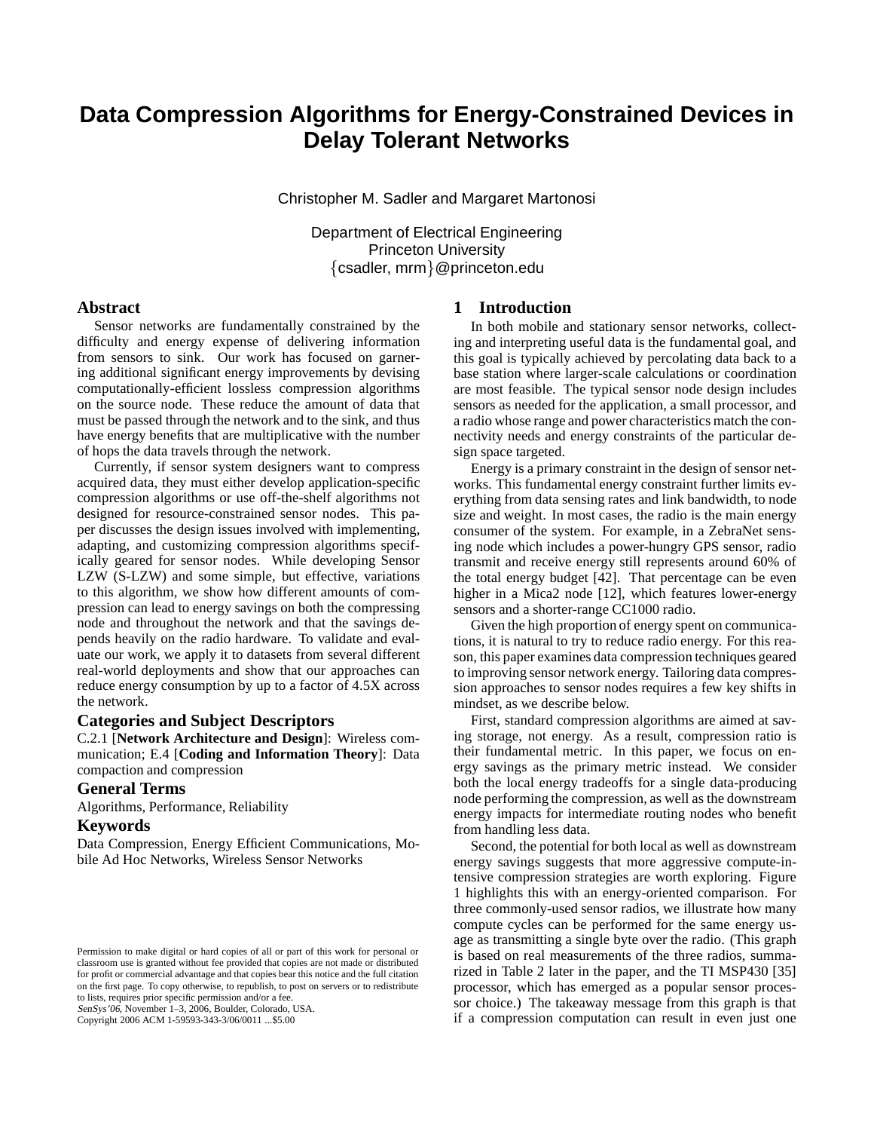# **Data Compression Algorithms for Energy-Constrained Devices in Delay Tolerant Networks**

Christopher M. Sadler and Margaret Martonosi

Department of Electrical Engineering Princeton University {csadler, mrm}@princeton.edu

## **Abstract**

Sensor networks are fundamentally constrained by the difficulty and energy expense of delivering information from sensors to sink. Our work has focused on garnering additional significant energy improvements by devising computationally-efficient lossless compression algorithms on the source node. These reduce the amount of data that must be passed through the network and to the sink, and thus have energy benefits that are multiplicative with the number of hops the data travels through the network.

Currently, if sensor system designers want to compress acquired data, they must either develop application-specific compression algorithms or use off-the-shelf algorithms not designed for resource-constrained sensor nodes. This paper discusses the design issues involved with implementing, adapting, and customizing compression algorithms specifically geared for sensor nodes. While developing Sensor LZW (S-LZW) and some simple, but effective, variations to this algorithm, we show how different amounts of compression can lead to energy savings on both the compressing node and throughout the network and that the savings depends heavily on the radio hardware. To validate and evaluate our work, we apply it to datasets from several different real-world deployments and show that our approaches can reduce energy consumption by up to a factor of 4.5X across the network.

## **Categories and Subject Descriptors**

C.2.1 [**Network Architecture and Design**]: Wireless communication; E.4 [**Coding and Information Theory**]: Data compaction and compression

#### **General Terms**

Algorithms, Performance, Reliability

#### **Keywords**

Data Compression, Energy Efficient Communications, Mobile Ad Hoc Networks, Wireless Sensor Networks

SenSys'06, November 1–3, 2006, Boulder, Colorado, USA.

Copyright 2006 ACM 1-59593-343-3/06/0011 ...\$5.00

#### **1 Introduction**

In both mobile and stationary sensor networks, collecting and interpreting useful data is the fundamental goal, and this goal is typically achieved by percolating data back to a base station where larger-scale calculations or coordination are most feasible. The typical sensor node design includes sensors as needed for the application, a small processor, and a radio whose range and power characteristics match the connectivity needs and energy constraints of the particular design space targeted.

Energy is a primary constraint in the design of sensor networks. This fundamental energy constraint further limits everything from data sensing rates and link bandwidth, to node size and weight. In most cases, the radio is the main energy consumer of the system. For example, in a ZebraNet sensing node which includes a power-hungry GPS sensor, radio transmit and receive energy still represents around 60% of the total energy budget [42]. That percentage can be even higher in a Mica2 node [12], which features lower-energy sensors and a shorter-range CC1000 radio.

Given the high proportion of energy spent on communications, it is natural to try to reduce radio energy. For this reason, this paper examines data compression techniques geared to improving sensor network energy. Tailoring data compression approaches to sensor nodes requires a few key shifts in mindset, as we describe below.

First, standard compression algorithms are aimed at saving storage, not energy. As a result, compression ratio is their fundamental metric. In this paper, we focus on energy savings as the primary metric instead. We consider both the local energy tradeoffs for a single data-producing node performing the compression, as well as the downstream energy impacts for intermediate routing nodes who benefit from handling less data.

Second, the potential for both local as well as downstream energy savings suggests that more aggressive compute-intensive compression strategies are worth exploring. Figure 1 highlights this with an energy-oriented comparison. For three commonly-used sensor radios, we illustrate how many compute cycles can be performed for the same energy usage as transmitting a single byte over the radio. (This graph is based on real measurements of the three radios, summarized in Table 2 later in the paper, and the TI MSP430 [35] processor, which has emerged as a popular sensor processor choice.) The takeaway message from this graph is that if a compression computation can result in even just one

Permission to make digital or hard copies of all or part of this work for personal or classroom use is granted without fee provided that copies are not made or distributed for profit or commercial advantage and that copies bear this notice and the full citation on the first page. To copy otherwise, to republish, to post on servers or to redistribute to lists, requires prior specific permission and/or a fee.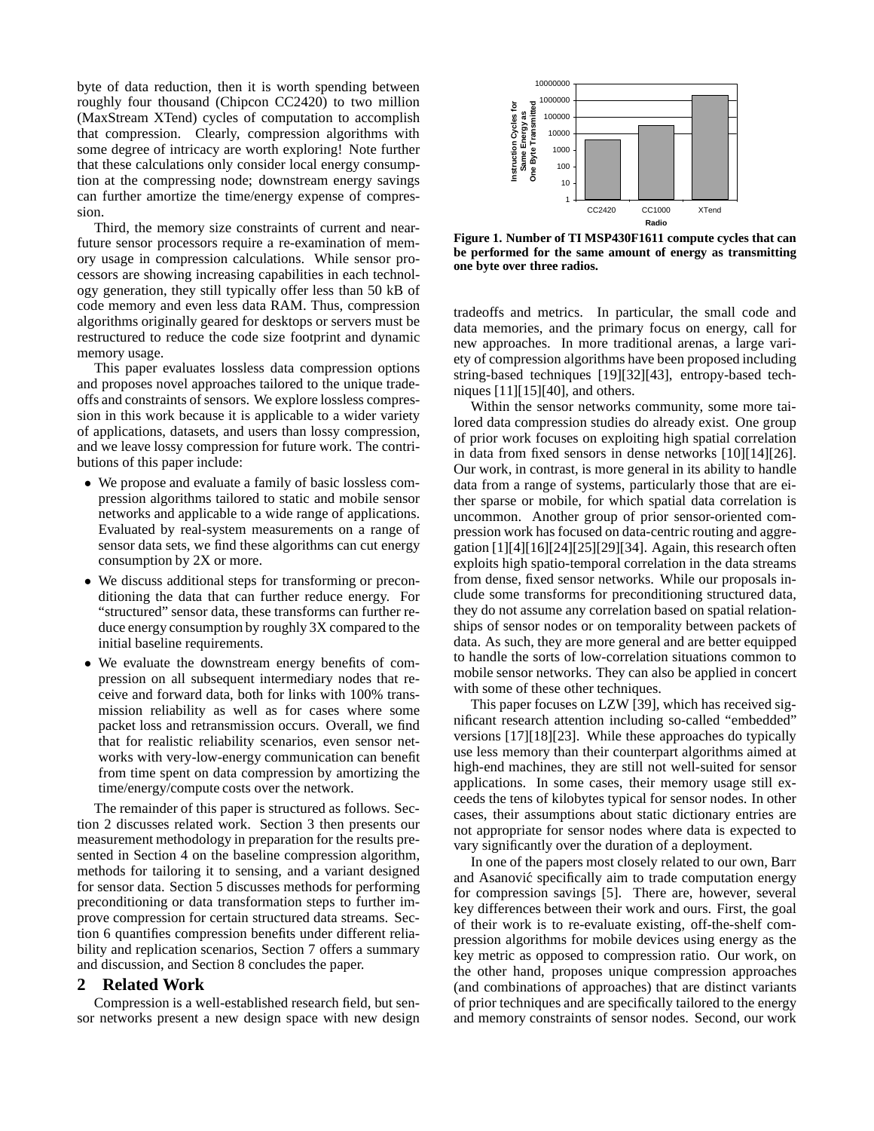byte of data reduction, then it is worth spending between roughly four thousand (Chipcon CC2420) to two million (MaxStream XTend) cycles of computation to accomplish that compression. Clearly, compression algorithms with some degree of intricacy are worth exploring! Note further that these calculations only consider local energy consumption at the compressing node; downstream energy savings can further amortize the time/energy expense of compression.

Third, the memory size constraints of current and nearfuture sensor processors require a re-examination of memory usage in compression calculations. While sensor processors are showing increasing capabilities in each technology generation, they still typically offer less than 50 kB of code memory and even less data RAM. Thus, compression algorithms originally geared for desktops or servers must be restructured to reduce the code size footprint and dynamic memory usage.

This paper evaluates lossless data compression options and proposes novel approaches tailored to the unique tradeoffs and constraints of sensors. We explore lossless compression in this work because it is applicable to a wider variety of applications, datasets, and users than lossy compression, and we leave lossy compression for future work. The contributions of this paper include:

- We propose and evaluate a family of basic lossless compression algorithms tailored to static and mobile sensor networks and applicable to a wide range of applications. Evaluated by real-system measurements on a range of sensor data sets, we find these algorithms can cut energy consumption by 2X or more.
- We discuss additional steps for transforming or preconditioning the data that can further reduce energy. For "structured" sensor data, these transforms can further reduce energy consumption by roughly 3X compared to the initial baseline requirements.
- We evaluate the downstream energy benefits of compression on all subsequent intermediary nodes that receive and forward data, both for links with 100% transmission reliability as well as for cases where some packet loss and retransmission occurs. Overall, we find that for realistic reliability scenarios, even sensor networks with very-low-energy communication can benefit from time spent on data compression by amortizing the time/energy/compute costs over the network.

The remainder of this paper is structured as follows. Section 2 discusses related work. Section 3 then presents our measurement methodology in preparation for the results presented in Section 4 on the baseline compression algorithm, methods for tailoring it to sensing, and a variant designed for sensor data. Section 5 discusses methods for performing preconditioning or data transformation steps to further improve compression for certain structured data streams. Section 6 quantifies compression benefits under different reliability and replication scenarios, Section 7 offers a summary and discussion, and Section 8 concludes the paper.

#### **2 Related Work**

Compression is a well-established research field, but sensor networks present a new design space with new design



**Figure 1. Number of TI MSP430F1611 compute cycles that can be performed for the same amount of energy as transmitting one byte over three radios.**

tradeoffs and metrics. In particular, the small code and data memories, and the primary focus on energy, call for new approaches. In more traditional arenas, a large variety of compression algorithms have been proposed including string-based techniques [19][32][43], entropy-based techniques [11][15][40], and others.

Within the sensor networks community, some more tailored data compression studies do already exist. One group of prior work focuses on exploiting high spatial correlation in data from fixed sensors in dense networks [10][14][26]. Our work, in contrast, is more general in its ability to handle data from a range of systems, particularly those that are either sparse or mobile, for which spatial data correlation is uncommon. Another group of prior sensor-oriented compression work has focused on data-centric routing and aggregation [1][4][16][24][25][29][34]. Again, this research often exploits high spatio-temporal correlation in the data streams from dense, fixed sensor networks. While our proposals include some transforms for preconditioning structured data, they do not assume any correlation based on spatial relationships of sensor nodes or on temporality between packets of data. As such, they are more general and are better equipped to handle the sorts of low-correlation situations common to mobile sensor networks. They can also be applied in concert with some of these other techniques.

This paper focuses on LZW [39], which has received significant research attention including so-called "embedded" versions [17][18][23]. While these approaches do typically use less memory than their counterpart algorithms aimed at high-end machines, they are still not well-suited for sensor applications. In some cases, their memory usage still exceeds the tens of kilobytes typical for sensor nodes. In other cases, their assumptions about static dictionary entries are not appropriate for sensor nodes where data is expected to vary significantly over the duration of a deployment.

In one of the papers most closely related to our own, Barr and Asanović specifically aim to trade computation energy for compression savings [5]. There are, however, several key differences between their work and ours. First, the goal of their work is to re-evaluate existing, off-the-shelf compression algorithms for mobile devices using energy as the key metric as opposed to compression ratio. Our work, on the other hand, proposes unique compression approaches (and combinations of approaches) that are distinct variants of prior techniques and are specifically tailored to the energy and memory constraints of sensor nodes. Second, our work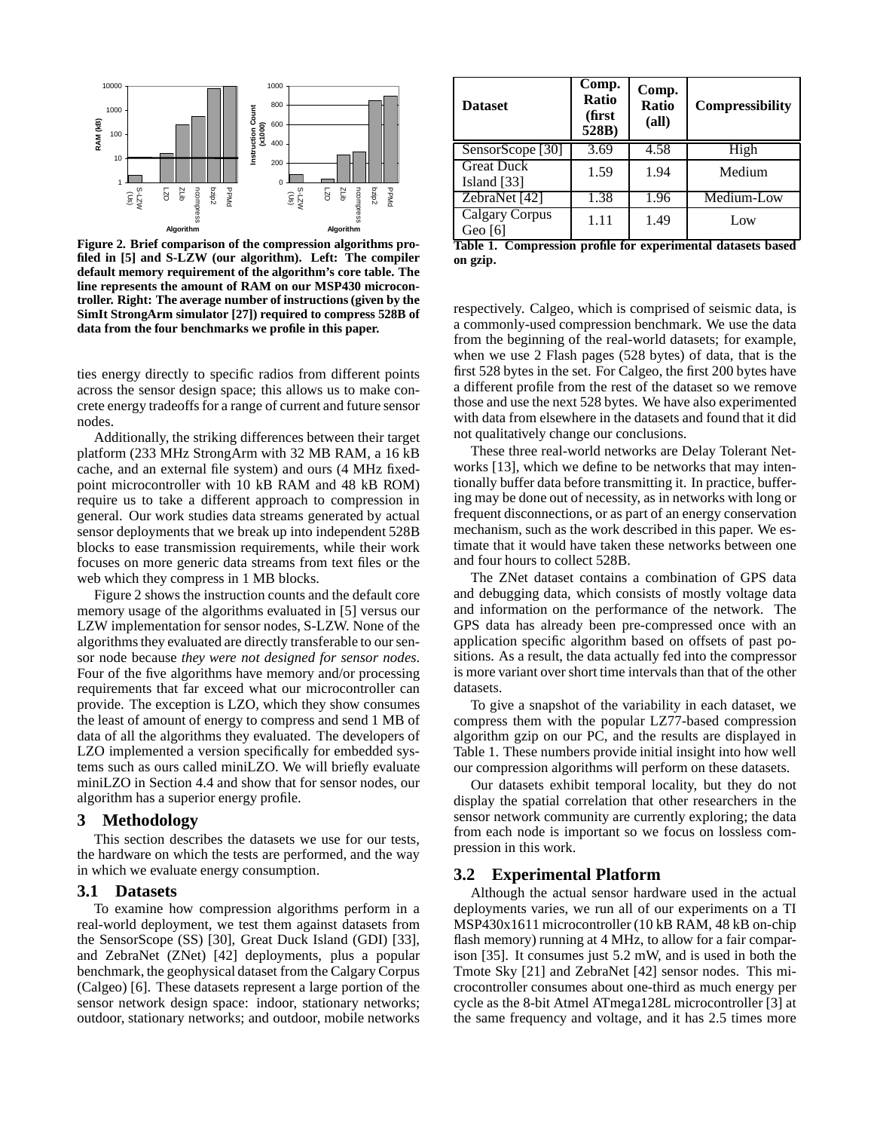

**Figure 2. Brief comparison of the compression algorithms profiled in [5] and S-LZW (our algorithm). Left: The compiler default memory requirement of the algorithm's core table. The line represents the amount of RAM on our MSP430 microcontroller. Right: The average number of instructions (given by the SimIt StrongArm simulator [27]) required to compress 528B of data from the four benchmarks we profile in this paper.**

ties energy directly to specific radios from different points across the sensor design space; this allows us to make concrete energy tradeoffs for a range of current and future sensor nodes.

Additionally, the striking differences between their target platform (233 MHz StrongArm with 32 MB RAM, a 16 kB cache, and an external file system) and ours (4 MHz fixedpoint microcontroller with 10 kB RAM and 48 kB ROM) require us to take a different approach to compression in general. Our work studies data streams generated by actual sensor deployments that we break up into independent 528B blocks to ease transmission requirements, while their work focuses on more generic data streams from text files or the web which they compress in 1 MB blocks.

Figure 2 shows the instruction counts and the default core memory usage of the algorithms evaluated in [5] versus our LZW implementation for sensor nodes, S-LZW. None of the algorithms they evaluated are directly transferable to oursensor node because *they were not designed for sensor nodes*. Four of the five algorithms have memory and/or processing requirements that far exceed what our microcontroller can provide. The exception is LZO, which they show consumes the least of amount of energy to compress and send 1 MB of data of all the algorithms they evaluated. The developers of LZO implemented a version specifically for embedded systems such as ours called miniLZO. We will briefly evaluate miniLZO in Section 4.4 and show that for sensor nodes, our algorithm has a superior energy profile.

## **3 Methodology**

This section describes the datasets we use for our tests, the hardware on which the tests are performed, and the way in which we evaluate energy consumption.

## **3.1 Datasets**

To examine how compression algorithms perform in a real-world deployment, we test them against datasets from the SensorScope (SS) [30], Great Duck Island (GDI) [33], and ZebraNet (ZNet) [42] deployments, plus a popular benchmark, the geophysical dataset from the Calgary Corpus (Calgeo) [6]. These datasets represent a large portion of the sensor network design space: indoor, stationary networks; outdoor, stationary networks; and outdoor, mobile networks

| <b>Dataset</b>                     | Comp.<br>Ratio<br>(first<br>528B) | Comp.<br>Ratio<br>(all) | <b>Compressibility</b> |  |
|------------------------------------|-----------------------------------|-------------------------|------------------------|--|
| SensorScope <sup>[30]</sup>        | 3.69                              | 4.58                    | High                   |  |
| <b>Great Duck</b><br>Island $[33]$ | 1.59                              | 1.94                    | Medium                 |  |
| ZebraNet [42]                      | 1.38                              | 1.96                    | Medium-Low             |  |
| Calgary Corpus<br>Geo $[6]$        | 1.11                              | 1.49                    | Low                    |  |

**Table 1. Compression profile for experimental datasets based on gzip.**

respectively. Calgeo, which is comprised of seismic data, is a commonly-used compression benchmark. We use the data from the beginning of the real-world datasets; for example, when we use 2 Flash pages (528 bytes) of data, that is the first 528 bytes in the set. For Calgeo, the first 200 bytes have a different profile from the rest of the dataset so we remove those and use the next 528 bytes. We have also experimented with data from elsewhere in the datasets and found that it did not qualitatively change our conclusions.

These three real-world networks are Delay Tolerant Networks [13], which we define to be networks that may intentionally buffer data before transmitting it. In practice, buffering may be done out of necessity, as in networks with long or frequent disconnections, or as part of an energy conservation mechanism, such as the work described in this paper. We estimate that it would have taken these networks between one and four hours to collect 528B.

The ZNet dataset contains a combination of GPS data and debugging data, which consists of mostly voltage data and information on the performance of the network. The GPS data has already been pre-compressed once with an application specific algorithm based on offsets of past positions. As a result, the data actually fed into the compressor is more variant over short time intervals than that of the other datasets.

To give a snapshot of the variability in each dataset, we compress them with the popular LZ77-based compression algorithm gzip on our PC, and the results are displayed in Table 1. These numbers provide initial insight into how well our compression algorithms will perform on these datasets.

Our datasets exhibit temporal locality, but they do not display the spatial correlation that other researchers in the sensor network community are currently exploring; the data from each node is important so we focus on lossless compression in this work.

#### **3.2 Experimental Platform**

Although the actual sensor hardware used in the actual deployments varies, we run all of our experiments on a TI MSP430x1611 microcontroller (10 kB RAM, 48 kB on-chip flash memory) running at 4 MHz, to allow for a fair comparison [35]. It consumes just 5.2 mW, and is used in both the Tmote Sky [21] and ZebraNet [42] sensor nodes. This microcontroller consumes about one-third as much energy per cycle as the 8-bit Atmel ATmega128L microcontroller [3] at the same frequency and voltage, and it has 2.5 times more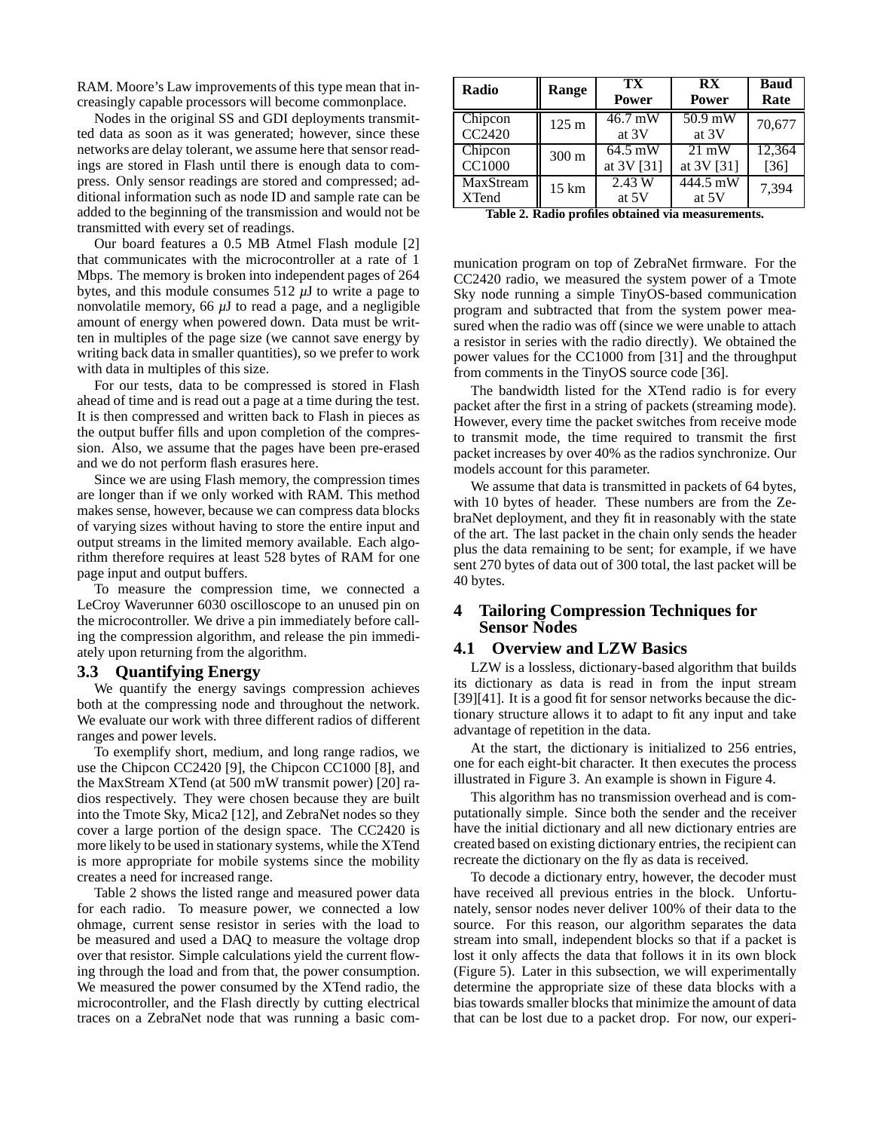RAM. Moore's Law improvements of this type mean that increasingly capable processors will become commonplace.

Nodes in the original SS and GDI deployments transmitted data as soon as it was generated; however, since these networks are delay tolerant, we assume here that sensor readings are stored in Flash until there is enough data to compress. Only sensor readings are stored and compressed; additional information such as node ID and sample rate can be added to the beginning of the transmission and would not be transmitted with every set of readings.

Our board features a 0.5 MB Atmel Flash module [2] that communicates with the microcontroller at a rate of 1 Mbps. The memory is broken into independent pages of 264 bytes, and this module consumes  $512 \mu J$  to write a page to nonvolatile memory, 66 *µ*J to read a page, and a negligible amount of energy when powered down. Data must be written in multiples of the page size (we cannot save energy by writing back data in smaller quantities), so we prefer to work with data in multiples of this size.

For our tests, data to be compressed is stored in Flash ahead of time and is read out a page at a time during the test. It is then compressed and written back to Flash in pieces as the output buffer fills and upon completion of the compression. Also, we assume that the pages have been pre-erased and we do not perform flash erasures here.

Since we are using Flash memory, the compression times are longer than if we only worked with RAM. This method makes sense, however, because we can compress data blocks of varying sizes without having to store the entire input and output streams in the limited memory available. Each algorithm therefore requires at least 528 bytes of RAM for one page input and output buffers.

To measure the compression time, we connected a LeCroy Waverunner 6030 oscilloscope to an unused pin on the microcontroller. We drive a pin immediately before calling the compression algorithm, and release the pin immediately upon returning from the algorithm.

#### **3.3 Quantifying Energy**

We quantify the energy savings compression achieves both at the compressing node and throughout the network. We evaluate our work with three different radios of different ranges and power levels.

To exemplify short, medium, and long range radios, we use the Chipcon CC2420 [9], the Chipcon CC1000 [8], and the MaxStream XTend (at 500 mW transmit power) [20] radios respectively. They were chosen because they are built into the Tmote Sky, Mica2 [12], and ZebraNet nodes so they cover a large portion of the design space. The CC2420 is more likely to be used in stationary systems, while the XTend is more appropriate for mobile systems since the mobility creates a need for increased range.

Table 2 shows the listed range and measured power data for each radio. To measure power, we connected a low ohmage, current sense resistor in series with the load to be measured and used a DAQ to measure the voltage drop over that resistor. Simple calculations yield the current flowing through the load and from that, the power consumption. We measured the power consumed by the XTend radio, the microcontroller, and the Flash directly by cutting electrical traces on a ZebraNet node that was running a basic com-

| Radio                          | <b>Range</b>    | TX<br>Power | <b>RX</b><br><b>Power</b>                         | <b>Baud</b><br>Rate |
|--------------------------------|-----------------|-------------|---------------------------------------------------|---------------------|
| Chipcon                        | 125 m           | 46.7 mW     | 50.9 mW                                           | 70,677              |
| CC2420                         |                 | at 3V       | at 3V                                             |                     |
| Chipcon                        | 300 m           | $64.5$ mW   | $21 \text{ mW}$                                   | 12,364              |
| <b>CC1000</b>                  |                 | at 3V [31]  | at 3V [31]                                        | $[36]$              |
| MaxStream                      | $15 \text{ km}$ | 2.43 W      | 444.5 mW                                          | 7,394               |
| <b>XTend</b><br>$T1$ is a $T2$ |                 | at 5V       | at 5V<br>Dalla musfilm shtatural nis masonnom mto |                     |

**Table 2. Radio profiles obtained via measurements.**

munication program on top of ZebraNet firmware. For the CC2420 radio, we measured the system power of a Tmote Sky node running a simple TinyOS-based communication program and subtracted that from the system power measured when the radio was off (since we were unable to attach a resistor in series with the radio directly). We obtained the power values for the CC1000 from [31] and the throughput from comments in the TinyOS source code [36].

The bandwidth listed for the XTend radio is for every packet after the first in a string of packets (streaming mode). However, every time the packet switches from receive mode to transmit mode, the time required to transmit the first packet increases by over 40% as the radios synchronize. Our models account for this parameter.

We assume that data is transmitted in packets of 64 bytes, with 10 bytes of header. These numbers are from the ZebraNet deployment, and they fit in reasonably with the state of the art. The last packet in the chain only sends the header plus the data remaining to be sent; for example, if we have sent 270 bytes of data out of 300 total, the last packet will be 40 bytes.

# **4 Tailoring Compression Techniques for Sensor Nodes**

## **4.1 Overview and LZW Basics**

LZW is a lossless, dictionary-based algorithm that builds its dictionary as data is read in from the input stream [39][41]. It is a good fit for sensor networks because the dictionary structure allows it to adapt to fit any input and take advantage of repetition in the data.

At the start, the dictionary is initialized to 256 entries, one for each eight-bit character. It then executes the process illustrated in Figure 3. An example is shown in Figure 4.

This algorithm has no transmission overhead and is computationally simple. Since both the sender and the receiver have the initial dictionary and all new dictionary entries are created based on existing dictionary entries, the recipient can recreate the dictionary on the fly as data is received.

To decode a dictionary entry, however, the decoder must have received all previous entries in the block. Unfortunately, sensor nodes never deliver 100% of their data to the source. For this reason, our algorithm separates the data stream into small, independent blocks so that if a packet is lost it only affects the data that follows it in its own block (Figure 5). Later in this subsection, we will experimentally determine the appropriate size of these data blocks with a bias towards smaller blocks that minimize the amount of data that can be lost due to a packet drop. For now, our experi-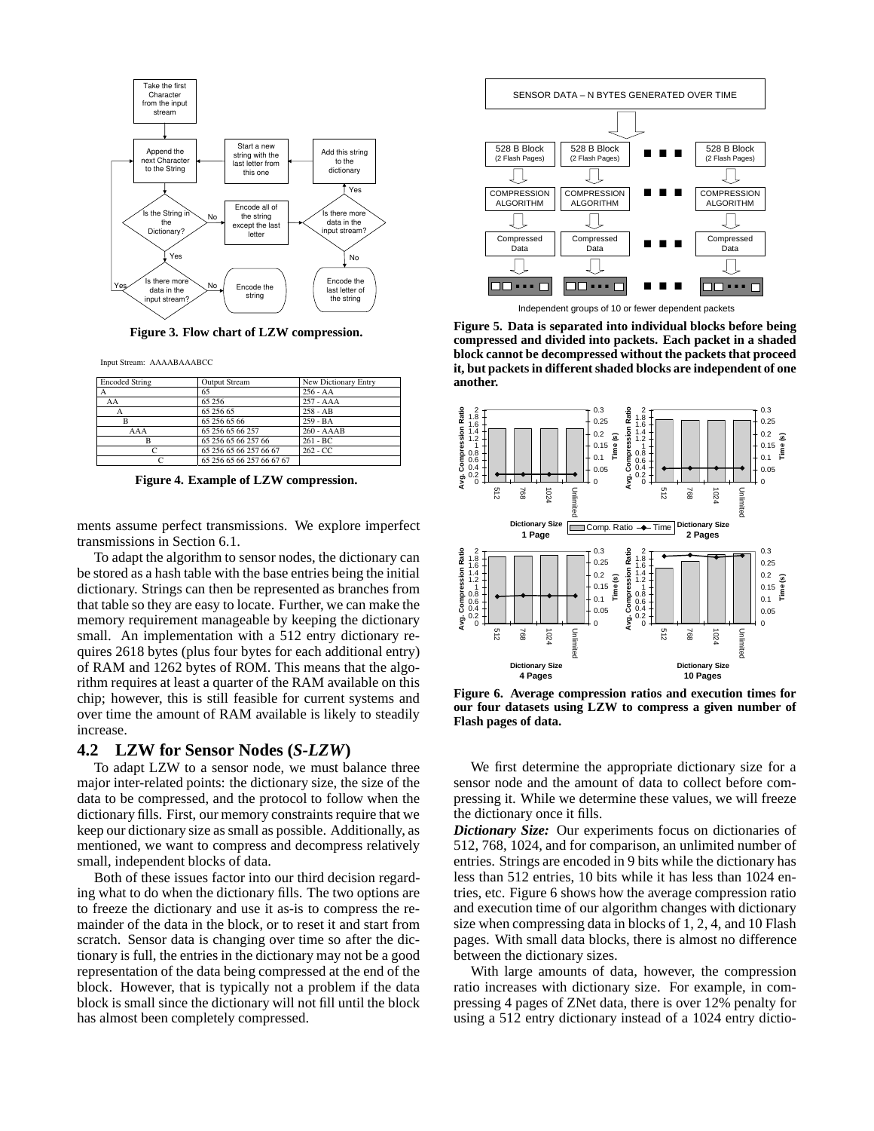

**Figure 3. Flow chart of LZW compression.**

Input Stream: AAAABAAABCC

| <b>Encoded String</b><br><b>Output Stream</b> |                           | New Dictionary Entry |  |  |
|-----------------------------------------------|---------------------------|----------------------|--|--|
|                                               | 65                        | $256 - AA$           |  |  |
| AA                                            | 65 25 6                   | $257 - AAA$          |  |  |
| A                                             | 65 256 65                 | $258 - AB$           |  |  |
| R                                             | 65 256 65 66              | $259 - BA$           |  |  |
| AAA                                           | 65 256 65 66 257          | $260 - AAAB$         |  |  |
| в                                             | 65 256 65 66 257 66       | $261 - BC$           |  |  |
|                                               | 65 256 65 66 257 66 67    | $262 - CC$           |  |  |
|                                               | 65 256 65 66 257 66 67 67 |                      |  |  |

**Figure 4. Example of LZW compression.**

ments assume perfect transmissions. We explore imperfect transmissions in Section 6.1.

To adapt the algorithm to sensor nodes, the dictionary can be stored as a hash table with the base entries being the initial dictionary. Strings can then be represented as branches from that table so they are easy to locate. Further, we can make the memory requirement manageable by keeping the dictionary small. An implementation with a 512 entry dictionary requires 2618 bytes (plus four bytes for each additional entry) of RAM and 1262 bytes of ROM. This means that the algorithm requires at least a quarter of the RAM available on this chip; however, this is still feasible for current systems and over time the amount of RAM available is likely to steadily increase.

#### **4.2 LZW for Sensor Nodes (***S-LZW***)**

To adapt LZW to a sensor node, we must balance three major inter-related points: the dictionary size, the size of the data to be compressed, and the protocol to follow when the dictionary fills. First, our memory constraints require that we keep our dictionary size as small as possible. Additionally, as mentioned, we want to compress and decompress relatively small, independent blocks of data.

Both of these issues factor into our third decision regarding what to do when the dictionary fills. The two options are to freeze the dictionary and use it as-is to compress the remainder of the data in the block, or to reset it and start from scratch. Sensor data is changing over time so after the dictionary is full, the entries in the dictionary may not be a good representation of the data being compressed at the end of the block. However, that is typically not a problem if the data block is small since the dictionary will not fill until the block has almost been completely compressed.



Independent groups of 10 or fewer dependent packets

**Figure 5. Data is separated into individual blocks before being compressed and divided into packets. Each packet in a shaded block cannot be decompressed without the packets that proceed it, but packets in different shaded blocks are independent of one another.**



**Figure 6. Average compression ratios and execution times for our four datasets using LZW to compress a given number of Flash pages of data.**

We first determine the appropriate dictionary size for a sensor node and the amount of data to collect before compressing it. While we determine these values, we will freeze the dictionary once it fills.

*Dictionary Size:* Our experiments focus on dictionaries of 512, 768, 1024, and for comparison, an unlimited number of entries. Strings are encoded in 9 bits while the dictionary has less than 512 entries, 10 bits while it has less than 1024 entries, etc. Figure 6 shows how the average compression ratio and execution time of our algorithm changes with dictionary size when compressing data in blocks of 1, 2, 4, and 10 Flash pages. With small data blocks, there is almost no difference between the dictionary sizes.

With large amounts of data, however, the compression ratio increases with dictionary size. For example, in compressing 4 pages of ZNet data, there is over 12% penalty for using a 512 entry dictionary instead of a 1024 entry dictio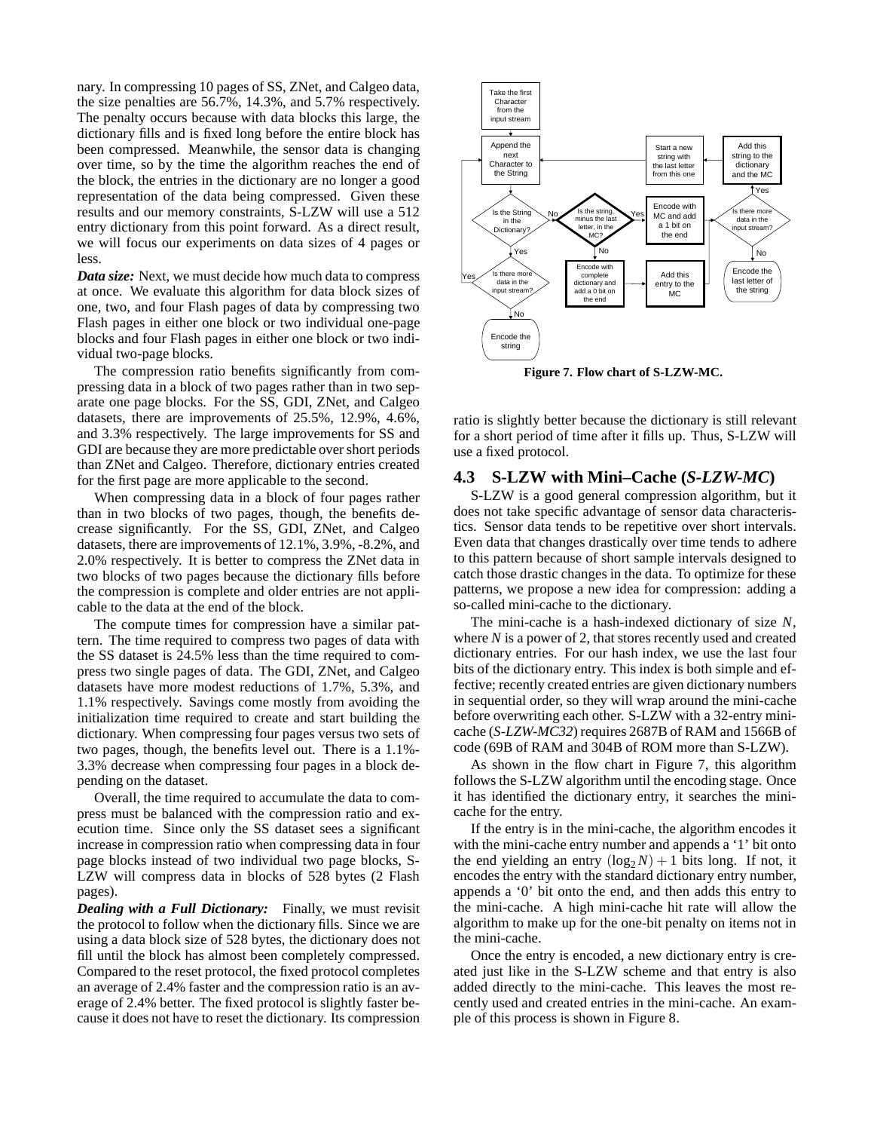nary. In compressing 10 pages of SS, ZNet, and Calgeo data, the size penalties are 56.7%, 14.3%, and 5.7% respectively. The penalty occurs because with data blocks this large, the dictionary fills and is fixed long before the entire block has been compressed. Meanwhile, the sensor data is changing over time, so by the time the algorithm reaches the end of the block, the entries in the dictionary are no longer a good representation of the data being compressed. Given these results and our memory constraints, S-LZW will use a 512 entry dictionary from this point forward. As a direct result, we will focus our experiments on data sizes of 4 pages or less.

*Data size:* Next, we must decide how much data to compress at once. We evaluate this algorithm for data block sizes of one, two, and four Flash pages of data by compressing two Flash pages in either one block or two individual one-page blocks and four Flash pages in either one block or two individual two-page blocks.

The compression ratio benefits significantly from compressing data in a block of two pages rather than in two separate one page blocks. For the SS, GDI, ZNet, and Calgeo datasets, there are improvements of 25.5%, 12.9%, 4.6%, and 3.3% respectively. The large improvements for SS and GDI are because they are more predictable over short periods than ZNet and Calgeo. Therefore, dictionary entries created for the first page are more applicable to the second.

When compressing data in a block of four pages rather than in two blocks of two pages, though, the benefits decrease significantly. For the SS, GDI, ZNet, and Calgeo datasets, there are improvements of 12.1%, 3.9%, -8.2%, and 2.0% respectively. It is better to compress the ZNet data in two blocks of two pages because the dictionary fills before the compression is complete and older entries are not applicable to the data at the end of the block.

The compute times for compression have a similar pattern. The time required to compress two pages of data with the SS dataset is 24.5% less than the time required to compress two single pages of data. The GDI, ZNet, and Calgeo datasets have more modest reductions of 1.7%, 5.3%, and 1.1% respectively. Savings come mostly from avoiding the initialization time required to create and start building the dictionary. When compressing four pages versus two sets of two pages, though, the benefits level out. There is a 1.1%- 3.3% decrease when compressing four pages in a block depending on the dataset.

Overall, the time required to accumulate the data to compress must be balanced with the compression ratio and execution time. Since only the SS dataset sees a significant increase in compression ratio when compressing data in four page blocks instead of two individual two page blocks, S-LZW will compress data in blocks of 528 bytes (2 Flash pages).

*Dealing with a Full Dictionary:* Finally, we must revisit the protocol to follow when the dictionary fills. Since we are using a data block size of 528 bytes, the dictionary does not fill until the block has almost been completely compressed. Compared to the reset protocol, the fixed protocol completes an average of 2.4% faster and the compression ratio is an average of 2.4% better. The fixed protocol is slightly faster because it does not have to reset the dictionary. Its compression



**Figure 7. Flow chart of S-LZW-MC.**

ratio is slightly better because the dictionary is still relevant for a short period of time after it fills up. Thus, S-LZW will use a fixed protocol.

## **4.3 S-LZW with Mini–Cache (***S-LZW-MC***)**

S-LZW is a good general compression algorithm, but it does not take specific advantage of sensor data characteristics. Sensor data tends to be repetitive over short intervals. Even data that changes drastically over time tends to adhere to this pattern because of short sample intervals designed to catch those drastic changes in the data. To optimize for these patterns, we propose a new idea for compression: adding a so-called mini-cache to the dictionary.

The mini-cache is a hash-indexed dictionary of size *N*, where *N* is a power of 2, that stores recently used and created dictionary entries. For our hash index, we use the last four bits of the dictionary entry. This index is both simple and effective; recently created entries are given dictionary numbers in sequential order, so they will wrap around the mini-cache before overwriting each other. S-LZW with a 32-entry minicache (*S-LZW-MC32*) requires 2687B of RAM and 1566B of code (69B of RAM and 304B of ROM more than S-LZW).

As shown in the flow chart in Figure 7, this algorithm follows the S-LZW algorithm until the encoding stage. Once it has identified the dictionary entry, it searches the minicache for the entry.

If the entry is in the mini-cache, the algorithm encodes it with the mini-cache entry number and appends a '1' bit onto the end yielding an entry  $(\log_2 N) + 1$  bits long. If not, it encodes the entry with the standard dictionary entry number, appends a '0' bit onto the end, and then adds this entry to the mini-cache. A high mini-cache hit rate will allow the algorithm to make up for the one-bit penalty on items not in the mini-cache.

Once the entry is encoded, a new dictionary entry is created just like in the S-LZW scheme and that entry is also added directly to the mini-cache. This leaves the most recently used and created entries in the mini-cache. An example of this process is shown in Figure 8.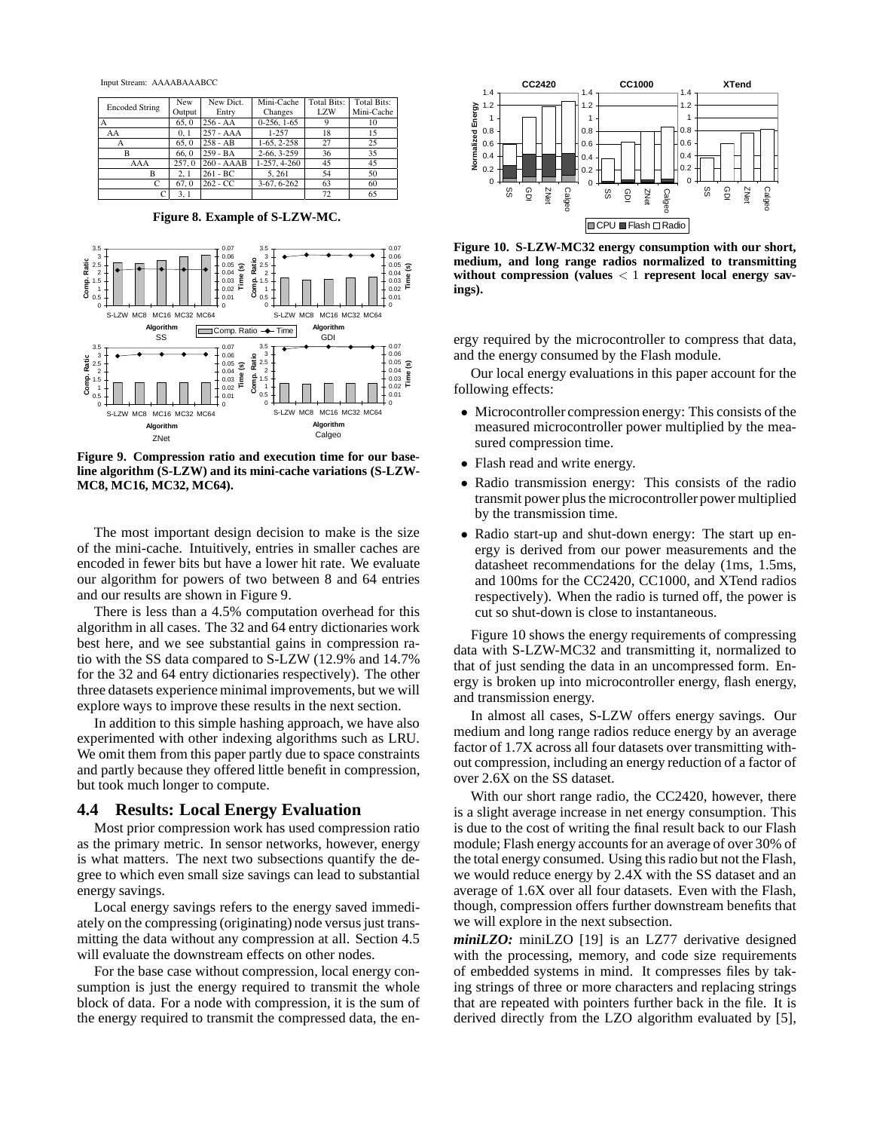Input Stream: AAAABAAABCC

| <b>Encoded String</b> | New    | New Dict.    | Mini-Cache    | <b>Total Bits:</b> | <b>Total Bits:</b> |
|-----------------------|--------|--------------|---------------|--------------------|--------------------|
|                       | Output | Entry        | Changes       | <b>LZW</b>         | Mini-Cache         |
| А                     | 65.0   | $256 - AA$   | $0-256, 1-65$ |                    | 10                 |
| AA                    | 0.1    | 257 - AAA    | 1-257         | 18                 | 15                 |
| А                     | 65.0   | $258 - AB$   | $1-65, 2-258$ | 27                 | 25                 |
| в                     | 66.0   | $259 - BA$   | $2-66, 3-259$ | 36                 | 35                 |
| AAA                   | 257.0  | $260 - AAAB$ | 1-257, 4-260  | 45                 | 45                 |
| в                     | 2.1    | $261 - BC$   | 5.261         | 54                 | 50                 |
| C                     | 67.0   | $262 - CC$   | $3-67, 6-262$ | 63                 | 60                 |
| C                     | 3, 1   |              |               | 72                 | 65                 |

**Figure 8. Example of S-LZW-MC.**



**Figure 9. Compression ratio and execution time for our baseline algorithm (S-LZW) and its mini-cache variations (S-LZW-MC8, MC16, MC32, MC64).**

The most important design decision to make is the size of the mini-cache. Intuitively, entries in smaller caches are encoded in fewer bits but have a lower hit rate. We evaluate our algorithm for powers of two between 8 and 64 entries and our results are shown in Figure 9.

There is less than a 4.5% computation overhead for this algorithm in all cases. The 32 and 64 entry dictionaries work best here, and we see substantial gains in compression ratio with the SS data compared to S-LZW (12.9% and 14.7% for the 32 and 64 entry dictionaries respectively). The other three datasets experience minimal improvements, but we will explore ways to improve these results in the next section.

In addition to this simple hashing approach, we have also experimented with other indexing algorithms such as LRU. We omit them from this paper partly due to space constraints and partly because they offered little benefit in compression, but took much longer to compute.

## **4.4 Results: Local Energy Evaluation**

Most prior compression work has used compression ratio as the primary metric. In sensor networks, however, energy is what matters. The next two subsections quantify the degree to which even small size savings can lead to substantial energy savings.

Local energy savings refers to the energy saved immediately on the compressing (originating) node versus just transmitting the data without any compression at all. Section 4.5 will evaluate the downstream effects on other nodes.

For the base case without compression, local energy consumption is just the energy required to transmit the whole block of data. For a node with compression, it is the sum of the energy required to transmit the compressed data, the en-



**Figure 10. S-LZW-MC32 energy consumption with our short, medium, and long range radios normalized to transmitting without compression (values** < 1 **represent local energy savings).**

ergy required by the microcontroller to compress that data, and the energy consumed by the Flash module.

Our local energy evaluations in this paper account for the following effects:

- Microcontroller compression energy: This consists of the measured microcontroller power multiplied by the measured compression time.
- Flash read and write energy.
- Radio transmission energy: This consists of the radio transmit power plus the microcontroller power multiplied by the transmission time.
- Radio start-up and shut-down energy: The start up energy is derived from our power measurements and the datasheet recommendations for the delay (1ms, 1.5ms, and 100ms for the CC2420, CC1000, and XTend radios respectively). When the radio is turned off, the power is cut so shut-down is close to instantaneous.

Figure 10 shows the energy requirements of compressing data with S-LZW-MC32 and transmitting it, normalized to that of just sending the data in an uncompressed form. Energy is broken up into microcontroller energy, flash energy, and transmission energy.

In almost all cases, S-LZW offers energy savings. Our medium and long range radios reduce energy by an average factor of 1.7X across all four datasets over transmitting without compression, including an energy reduction of a factor of over 2.6X on the SS dataset.

With our short range radio, the CC2420, however, there is a slight average increase in net energy consumption. This is due to the cost of writing the final result back to our Flash module; Flash energy accounts for an average of over 30% of the total energy consumed. Using this radio but not the Flash, we would reduce energy by 2.4X with the SS dataset and an average of 1.6X over all four datasets. Even with the Flash, though, compression offers further downstream benefits that we will explore in the next subsection.

*miniLZO:* miniLZO [19] is an LZ77 derivative designed with the processing, memory, and code size requirements of embedded systems in mind. It compresses files by taking strings of three or more characters and replacing strings that are repeated with pointers further back in the file. It is derived directly from the LZO algorithm evaluated by [5],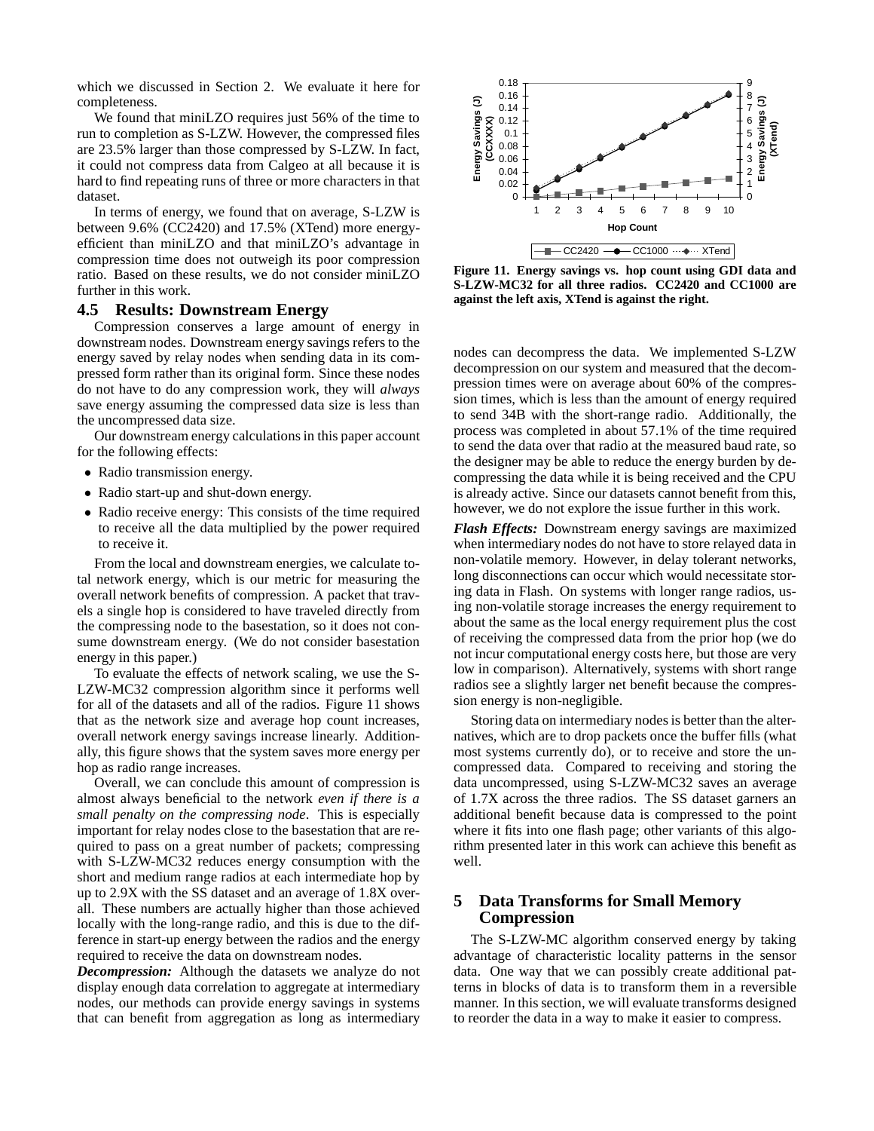which we discussed in Section 2. We evaluate it here for completeness.

We found that miniLZO requires just 56% of the time to run to completion as S-LZW. However, the compressed files are 23.5% larger than those compressed by S-LZW. In fact, it could not compress data from Calgeo at all because it is hard to find repeating runs of three or more characters in that dataset.

In terms of energy, we found that on average, S-LZW is between 9.6% (CC2420) and 17.5% (XTend) more energyefficient than miniLZO and that miniLZO's advantage in compression time does not outweigh its poor compression ratio. Based on these results, we do not consider miniLZO further in this work.

## **4.5 Results: Downstream Energy**

Compression conserves a large amount of energy in downstream nodes. Downstream energy savings refers to the energy saved by relay nodes when sending data in its compressed form rather than its original form. Since these nodes do not have to do any compression work, they will *always* save energy assuming the compressed data size is less than the uncompressed data size.

Our downstream energy calculations in this paper account for the following effects:

- Radio transmission energy.
- Radio start-up and shut-down energy.
- Radio receive energy: This consists of the time required to receive all the data multiplied by the power required to receive it.

From the local and downstream energies, we calculate total network energy, which is our metric for measuring the overall network benefits of compression. A packet that travels a single hop is considered to have traveled directly from the compressing node to the basestation, so it does not consume downstream energy. (We do not consider basestation energy in this paper.)

To evaluate the effects of network scaling, we use the S-LZW-MC32 compression algorithm since it performs well for all of the datasets and all of the radios. Figure 11 shows that as the network size and average hop count increases, overall network energy savings increase linearly. Additionally, this figure shows that the system saves more energy per hop as radio range increases.

Overall, we can conclude this amount of compression is almost always beneficial to the network *even if there is a small penalty on the compressing node*. This is especially important for relay nodes close to the basestation that are required to pass on a great number of packets; compressing with S-LZW-MC32 reduces energy consumption with the short and medium range radios at each intermediate hop by up to 2.9X with the SS dataset and an average of 1.8X overall. These numbers are actually higher than those achieved locally with the long-range radio, and this is due to the difference in start-up energy between the radios and the energy required to receive the data on downstream nodes.

*Decompression:* Although the datasets we analyze do not display enough data correlation to aggregate at intermediary nodes, our methods can provide energy savings in systems that can benefit from aggregation as long as intermediary



**Figure 11. Energy savings vs. hop count using GDI data and S-LZW-MC32 for all three radios. CC2420 and CC1000 are against the left axis, XTend is against the right.**

nodes can decompress the data. We implemented S-LZW decompression on our system and measured that the decompression times were on average about 60% of the compression times, which is less than the amount of energy required to send 34B with the short-range radio. Additionally, the process was completed in about 57.1% of the time required to send the data over that radio at the measured baud rate, so the designer may be able to reduce the energy burden by decompressing the data while it is being received and the CPU is already active. Since our datasets cannot benefit from this, however, we do not explore the issue further in this work.

*Flash Effects:* Downstream energy savings are maximized when intermediary nodes do not have to store relayed data in non-volatile memory. However, in delay tolerant networks, long disconnections can occur which would necessitate storing data in Flash. On systems with longer range radios, using non-volatile storage increases the energy requirement to about the same as the local energy requirement plus the cost of receiving the compressed data from the prior hop (we do not incur computational energy costs here, but those are very low in comparison). Alternatively, systems with short range radios see a slightly larger net benefit because the compression energy is non-negligible.

Storing data on intermediary nodes is better than the alternatives, which are to drop packets once the buffer fills (what most systems currently do), or to receive and store the uncompressed data. Compared to receiving and storing the data uncompressed, using S-LZW-MC32 saves an average of 1.7X across the three radios. The SS dataset garners an additional benefit because data is compressed to the point where it fits into one flash page; other variants of this algorithm presented later in this work can achieve this benefit as well.

# **5 Data Transforms for Small Memory Compression**

The S-LZW-MC algorithm conserved energy by taking advantage of characteristic locality patterns in the sensor data. One way that we can possibly create additional patterns in blocks of data is to transform them in a reversible manner. In this section, we will evaluate transforms designed to reorder the data in a way to make it easier to compress.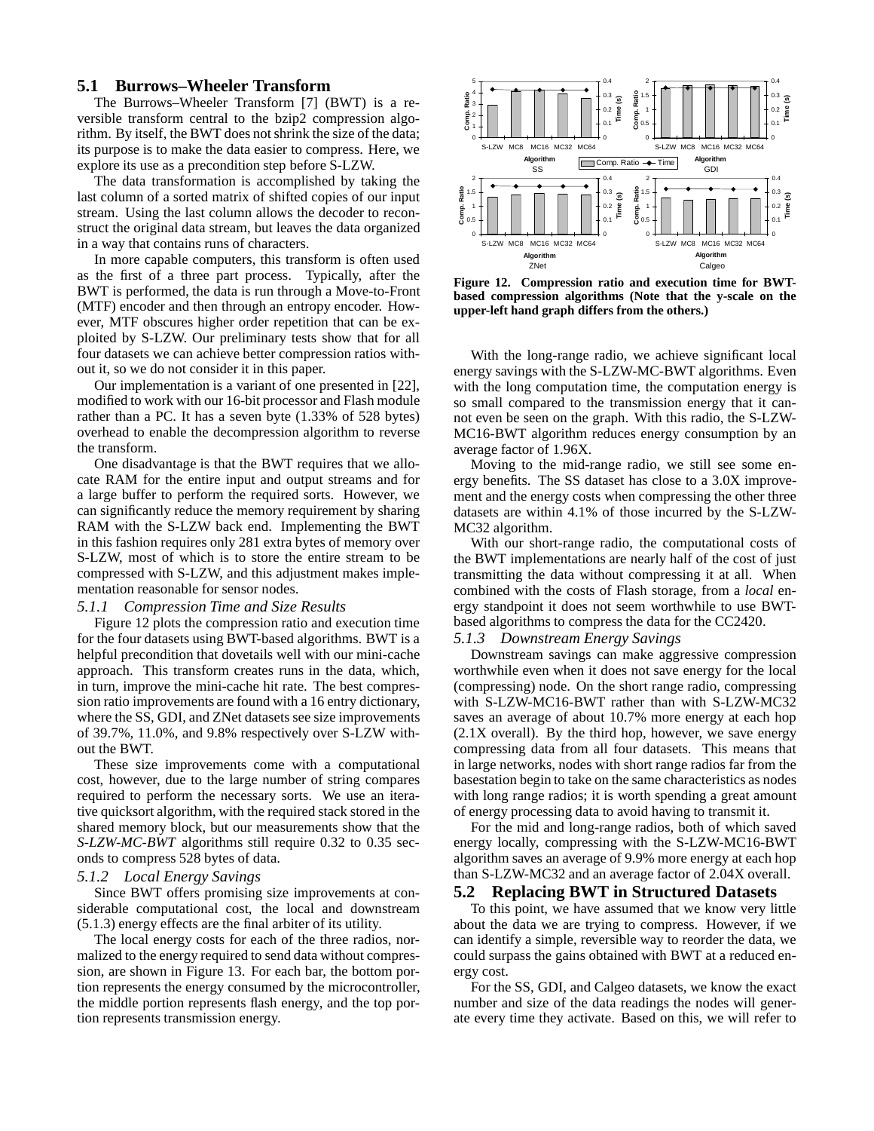## **5.1 Burrows–Wheeler Transform**

The Burrows–Wheeler Transform [7] (BWT) is a reversible transform central to the bzip2 compression algorithm. By itself, the BWT does not shrink the size of the data; its purpose is to make the data easier to compress. Here, we explore its use as a precondition step before S-LZW.

The data transformation is accomplished by taking the last column of a sorted matrix of shifted copies of our input stream. Using the last column allows the decoder to reconstruct the original data stream, but leaves the data organized in a way that contains runs of characters.

In more capable computers, this transform is often used as the first of a three part process. Typically, after the BWT is performed, the data is run through a Move-to-Front (MTF) encoder and then through an entropy encoder. However, MTF obscures higher order repetition that can be exploited by S-LZW. Our preliminary tests show that for all four datasets we can achieve better compression ratios without it, so we do not consider it in this paper.

Our implementation is a variant of one presented in [22], modified to work with our 16-bit processor and Flash module rather than a PC. It has a seven byte (1.33% of 528 bytes) overhead to enable the decompression algorithm to reverse the transform.

One disadvantage is that the BWT requires that we allocate RAM for the entire input and output streams and for a large buffer to perform the required sorts. However, we can significantly reduce the memory requirement by sharing RAM with the S-LZW back end. Implementing the BWT in this fashion requires only 281 extra bytes of memory over S-LZW, most of which is to store the entire stream to be compressed with S-LZW, and this adjustment makes implementation reasonable for sensor nodes.

## *5.1.1 Compression Time and Size Results*

Figure 12 plots the compression ratio and execution time for the four datasets using BWT-based algorithms. BWT is a helpful precondition that dovetails well with our mini-cache approach. This transform creates runs in the data, which, in turn, improve the mini-cache hit rate. The best compression ratio improvements are found with a 16 entry dictionary, where the SS, GDI, and ZNet datasets see size improvements of 39.7%, 11.0%, and 9.8% respectively over S-LZW without the BWT.

These size improvements come with a computational cost, however, due to the large number of string compares required to perform the necessary sorts. We use an iterative quicksort algorithm, with the required stack stored in the shared memory block, but our measurements show that the *S-LZW-MC-BWT* algorithms still require 0.32 to 0.35 seconds to compress 528 bytes of data.

## *5.1.2 Local Energy Savings*

Since BWT offers promising size improvements at considerable computational cost, the local and downstream (5.1.3) energy effects are the final arbiter of its utility.

The local energy costs for each of the three radios, normalized to the energy required to send data without compression, are shown in Figure 13. For each bar, the bottom portion represents the energy consumed by the microcontroller, the middle portion represents flash energy, and the top portion represents transmission energy.



**Figure 12. Compression ratio and execution time for BWTbased compression algorithms (Note that the y-scale on the upper-left hand graph differs from the others.)**

With the long-range radio, we achieve significant local energy savings with the S-LZW-MC-BWT algorithms. Even with the long computation time, the computation energy is so small compared to the transmission energy that it cannot even be seen on the graph. With this radio, the S-LZW-MC16-BWT algorithm reduces energy consumption by an average factor of 1.96X.

Moving to the mid-range radio, we still see some energy benefits. The SS dataset has close to a 3.0X improvement and the energy costs when compressing the other three datasets are within 4.1% of those incurred by the S-LZW-MC32 algorithm.

With our short-range radio, the computational costs of the BWT implementations are nearly half of the cost of just transmitting the data without compressing it at all. When combined with the costs of Flash storage, from a *local* energy standpoint it does not seem worthwhile to use BWTbased algorithms to compress the data for the CC2420.

#### *5.1.3 Downstream Energy Savings*

Downstream savings can make aggressive compression worthwhile even when it does not save energy for the local (compressing) node. On the short range radio, compressing with S-LZW-MC16-BWT rather than with S-LZW-MC32 saves an average of about 10.7% more energy at each hop  $(2.1X)$  overall). By the third hop, however, we save energy compressing data from all four datasets. This means that in large networks, nodes with short range radios far from the basestation begin to take on the same characteristics as nodes with long range radios; it is worth spending a great amount of energy processing data to avoid having to transmit it.

For the mid and long-range radios, both of which saved energy locally, compressing with the S-LZW-MC16-BWT algorithm saves an average of 9.9% more energy at each hop than S-LZW-MC32 and an average factor of 2.04X overall.

#### **5.2 Replacing BWT in Structured Datasets**

To this point, we have assumed that we know very little about the data we are trying to compress. However, if we can identify a simple, reversible way to reorder the data, we could surpass the gains obtained with BWT at a reduced energy cost.

For the SS, GDI, and Calgeo datasets, we know the exact number and size of the data readings the nodes will generate every time they activate. Based on this, we will refer to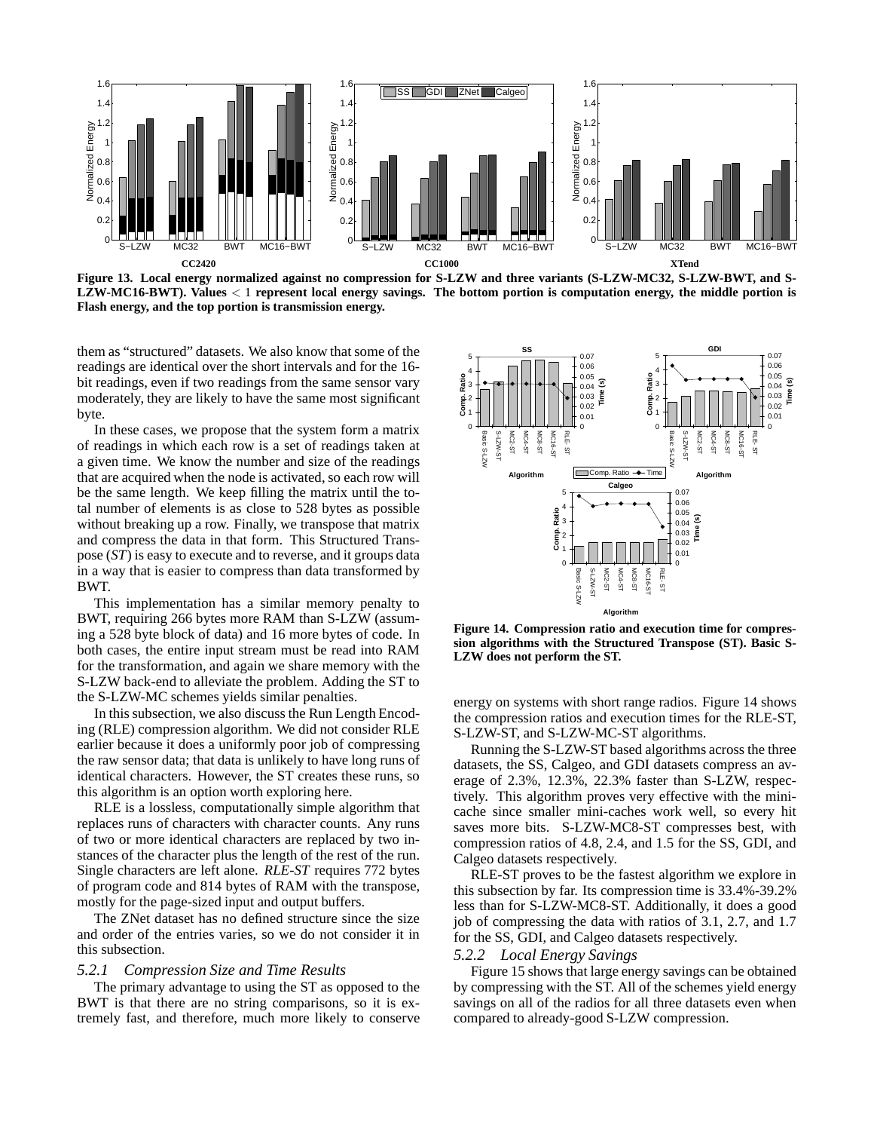

**Figure 13. Local energy normalized against no compression for S-LZW and three variants (S-LZW-MC32, S-LZW-BWT, and S-LZW-MC16-BWT). Values** < 1 **represent local energy savings. The bottom portion is computation energy, the middle portion is Flash energy, and the top portion is transmission energy.**

them as "structured" datasets. We also know that some of the readings are identical over the short intervals and for the 16 bit readings, even if two readings from the same sensor vary moderately, they are likely to have the same most significant byte.

In these cases, we propose that the system form a matrix of readings in which each row is a set of readings taken at a given time. We know the number and size of the readings that are acquired when the node is activated, so each row will be the same length. We keep filling the matrix until the total number of elements is as close to 528 bytes as possible without breaking up a row. Finally, we transpose that matrix and compress the data in that form. This Structured Transpose (*ST*) is easy to execute and to reverse, and it groups data in a way that is easier to compress than data transformed by BWT.

This implementation has a similar memory penalty to BWT, requiring 266 bytes more RAM than S-LZW (assuming a 528 byte block of data) and 16 more bytes of code. In both cases, the entire input stream must be read into RAM for the transformation, and again we share memory with the S-LZW back-end to alleviate the problem. Adding the ST to the S-LZW-MC schemes yields similar penalties.

In this subsection, we also discuss the Run Length Encoding (RLE) compression algorithm. We did not consider RLE earlier because it does a uniformly poor job of compressing the raw sensor data; that data is unlikely to have long runs of identical characters. However, the ST creates these runs, so this algorithm is an option worth exploring here.

RLE is a lossless, computationally simple algorithm that replaces runs of characters with character counts. Any runs of two or more identical characters are replaced by two instances of the character plus the length of the rest of the run. Single characters are left alone. *RLE-ST* requires 772 bytes of program code and 814 bytes of RAM with the transpose, mostly for the page-sized input and output buffers.

The ZNet dataset has no defined structure since the size and order of the entries varies, so we do not consider it in this subsection.

#### *5.2.1 Compression Size and Time Results*

The primary advantage to using the ST as opposed to the BWT is that there are no string comparisons, so it is extremely fast, and therefore, much more likely to conserve



**Figure 14. Compression ratio and execution time for compression algorithms with the Structured Transpose (ST). Basic S-LZW does not perform the ST.**

energy on systems with short range radios. Figure 14 shows the compression ratios and execution times for the RLE-ST, S-LZW-ST, and S-LZW-MC-ST algorithms.

Running the S-LZW-ST based algorithms across the three datasets, the SS, Calgeo, and GDI datasets compress an average of 2.3%, 12.3%, 22.3% faster than S-LZW, respectively. This algorithm proves very effective with the minicache since smaller mini-caches work well, so every hit saves more bits. S-LZW-MC8-ST compresses best, with compression ratios of 4.8, 2.4, and 1.5 for the SS, GDI, and Calgeo datasets respectively.

RLE-ST proves to be the fastest algorithm we explore in this subsection by far. Its compression time is 33.4%-39.2% less than for S-LZW-MC8-ST. Additionally, it does a good job of compressing the data with ratios of 3.1, 2.7, and 1.7 for the SS, GDI, and Calgeo datasets respectively.

#### *5.2.2 Local Energy Savings*

Figure 15 shows that large energy savings can be obtained by compressing with the ST. All of the schemes yield energy savings on all of the radios for all three datasets even when compared to already-good S-LZW compression.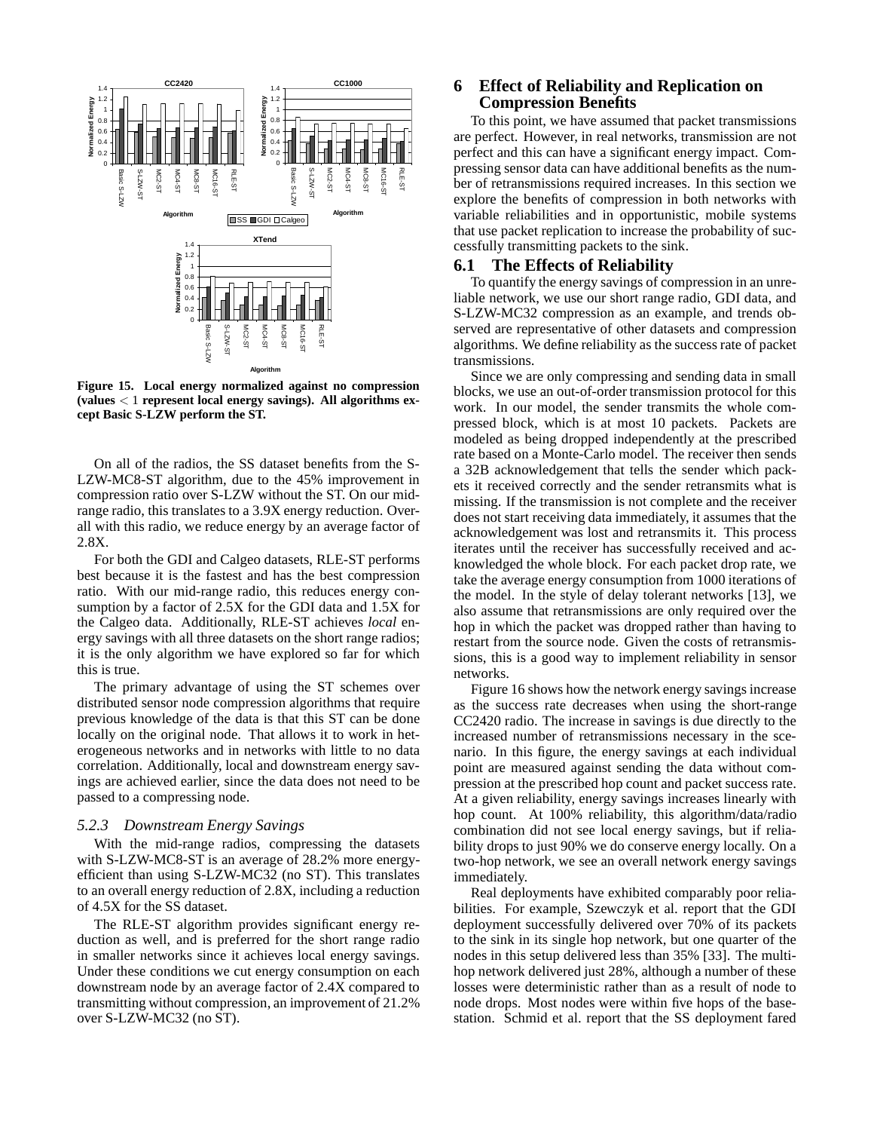

**Figure 15. Local energy normalized against no compression (values** < 1 **represent local energy savings). All algorithms except Basic S-LZW perform the ST.**

On all of the radios, the SS dataset benefits from the S-LZW-MC8-ST algorithm, due to the 45% improvement in compression ratio over S-LZW without the ST. On our midrange radio, this translates to a 3.9X energy reduction. Overall with this radio, we reduce energy by an average factor of 2.8X.

For both the GDI and Calgeo datasets, RLE-ST performs best because it is the fastest and has the best compression ratio. With our mid-range radio, this reduces energy consumption by a factor of 2.5X for the GDI data and 1.5X for the Calgeo data. Additionally, RLE-ST achieves *local* energy savings with all three datasets on the short range radios; it is the only algorithm we have explored so far for which this is true.

The primary advantage of using the ST schemes over distributed sensor node compression algorithms that require previous knowledge of the data is that this ST can be done locally on the original node. That allows it to work in heterogeneous networks and in networks with little to no data correlation. Additionally, local and downstream energy savings are achieved earlier, since the data does not need to be passed to a compressing node.

#### *5.2.3 Downstream Energy Savings*

With the mid-range radios, compressing the datasets with S-LZW-MC8-ST is an average of 28.2% more energyefficient than using S-LZW-MC32 (no ST). This translates to an overall energy reduction of 2.8X, including a reduction of 4.5X for the SS dataset.

The RLE-ST algorithm provides significant energy reduction as well, and is preferred for the short range radio in smaller networks since it achieves local energy savings. Under these conditions we cut energy consumption on each downstream node by an average factor of 2.4X compared to transmitting without compression, an improvement of 21.2% over S-LZW-MC32 (no ST).

# **6 Effect of Reliability and Replication on Compression Benefits**

To this point, we have assumed that packet transmissions are perfect. However, in real networks, transmission are not perfect and this can have a significant energy impact. Compressing sensor data can have additional benefits as the number of retransmissions required increases. In this section we explore the benefits of compression in both networks with variable reliabilities and in opportunistic, mobile systems that use packet replication to increase the probability of successfully transmitting packets to the sink.

## **6.1 The Effects of Reliability**

To quantify the energy savings of compression in an unreliable network, we use our short range radio, GDI data, and S-LZW-MC32 compression as an example, and trends observed are representative of other datasets and compression algorithms. We define reliability as the success rate of packet transmissions.

Since we are only compressing and sending data in small blocks, we use an out-of-order transmission protocol for this work. In our model, the sender transmits the whole compressed block, which is at most 10 packets. Packets are modeled as being dropped independently at the prescribed rate based on a Monte-Carlo model. The receiver then sends a 32B acknowledgement that tells the sender which packets it received correctly and the sender retransmits what is missing. If the transmission is not complete and the receiver does not start receiving data immediately, it assumes that the acknowledgement was lost and retransmits it. This process iterates until the receiver has successfully received and acknowledged the whole block. For each packet drop rate, we take the average energy consumption from 1000 iterations of the model. In the style of delay tolerant networks [13], we also assume that retransmissions are only required over the hop in which the packet was dropped rather than having to restart from the source node. Given the costs of retransmissions, this is a good way to implement reliability in sensor networks.

Figure 16 shows how the network energy savings increase as the success rate decreases when using the short-range CC2420 radio. The increase in savings is due directly to the increased number of retransmissions necessary in the scenario. In this figure, the energy savings at each individual point are measured against sending the data without compression at the prescribed hop count and packet success rate. At a given reliability, energy savings increases linearly with hop count. At 100% reliability, this algorithm/data/radio combination did not see local energy savings, but if reliability drops to just 90% we do conserve energy locally. On a two-hop network, we see an overall network energy savings immediately.

Real deployments have exhibited comparably poor reliabilities. For example, Szewczyk et al. report that the GDI deployment successfully delivered over 70% of its packets to the sink in its single hop network, but one quarter of the nodes in this setup delivered less than 35% [33]. The multihop network delivered just 28%, although a number of these losses were deterministic rather than as a result of node to node drops. Most nodes were within five hops of the basestation. Schmid et al. report that the SS deployment fared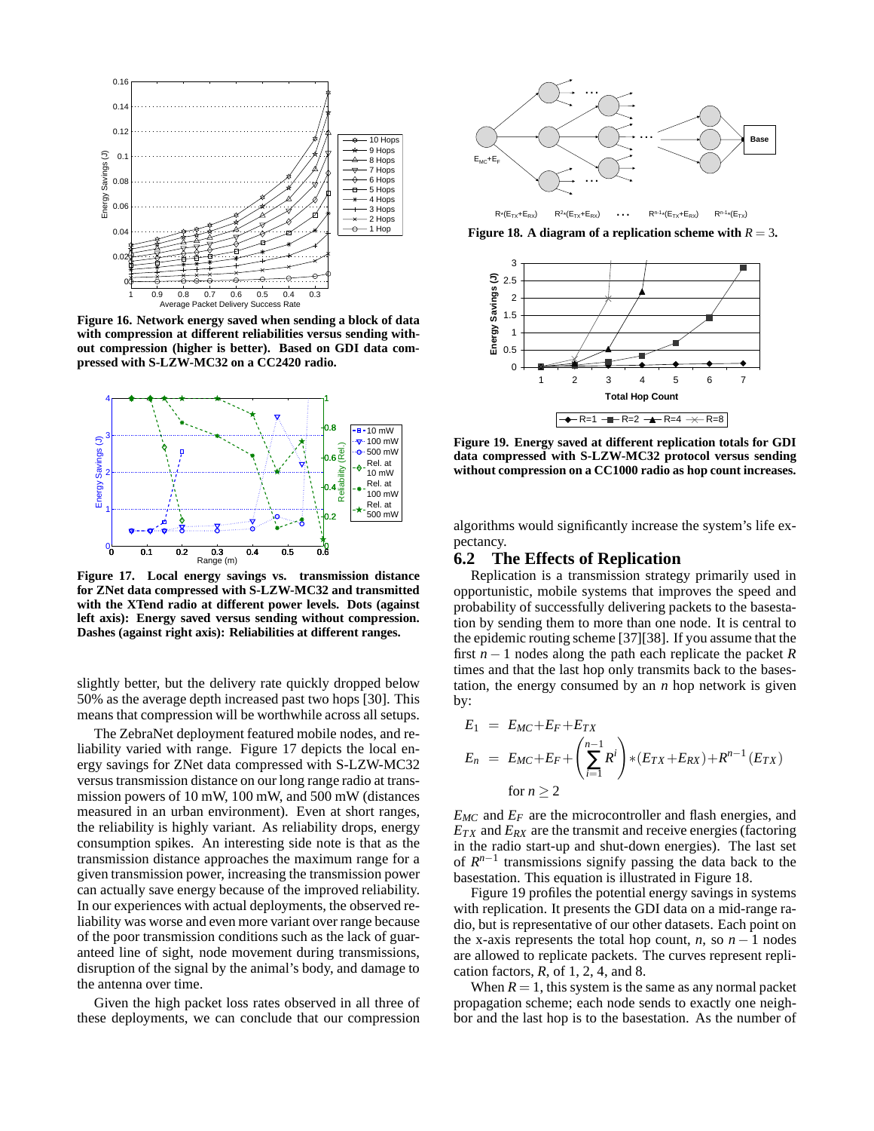

**Figure 16. Network energy saved when sending a block of data with compression at different reliabilities versus sending without compression (higher is better). Based on GDI data compressed with S-LZW-MC32 on a CC2420 radio.**



**Figure 17. Local energy savings vs. transmission distance for ZNet data compressed with S-LZW-MC32 and transmitted with the XTend radio at different power levels. Dots (against left axis): Energy saved versus sending without compression. Dashes (against right axis): Reliabilities at different ranges.**

slightly better, but the delivery rate quickly dropped below 50% as the average depth increased past two hops [30]. This means that compression will be worthwhile across all setups.

The ZebraNet deployment featured mobile nodes, and reliability varied with range. Figure 17 depicts the local energy savings for ZNet data compressed with S-LZW-MC32 versus transmission distance on our long range radio at transmission powers of 10 mW, 100 mW, and 500 mW (distances measured in an urban environment). Even at short ranges, the reliability is highly variant. As reliability drops, energy consumption spikes. An interesting side note is that as the transmission distance approaches the maximum range for a given transmission power, increasing the transmission power can actually save energy because of the improved reliability. In our experiences with actual deployments, the observed reliability was worse and even more variant over range because of the poor transmission conditions such as the lack of guaranteed line of sight, node movement during transmissions, disruption of the signal by the animal's body, and damage to the antenna over time.

Given the high packet loss rates observed in all three of these deployments, we can conclude that our compression



**Figure 18.** A diagram of a replication scheme with  $R = 3$ .



**Figure 19. Energy saved at different replication totals for GDI data compressed with S-LZW-MC32 protocol versus sending without compression on a CC1000 radio as hop count increases.**

algorithms would significantly increase the system's life expectancy.

## **6.2 The Effects of Replication**

Replication is a transmission strategy primarily used in opportunistic, mobile systems that improves the speed and probability of successfully delivering packets to the basestation by sending them to more than one node. It is central to the epidemic routing scheme [37][38]. If you assume that the first *n* − 1 nodes along the path each replicate the packet *R* times and that the last hop only transmits back to the basestation, the energy consumed by an *n* hop network is given by:

$$
E_1 = E_{MC} + E_F + E_{TX}
$$
  
\n
$$
E_n = E_{MC} + E_F + \left(\sum_{i=1}^{n-1} R^i\right) * (E_{TX} + E_{RX}) + R^{n-1} (E_{TX})
$$
  
\nfor  $n \ge 2$ 

*EMC* and *E<sup>F</sup>* are the microcontroller and flash energies, and  $E_{TX}$  and  $E_{RX}$  are the transmit and receive energies (factoring in the radio start-up and shut-down energies). The last set of  $R^{n-1}$  transmissions signify passing the data back to the basestation. This equation is illustrated in Figure 18.

Figure 19 profiles the potential energy savings in systems with replication. It presents the GDI data on a mid-range radio, but is representative of our other datasets. Each point on the x-axis represents the total hop count, *n*, so  $n - 1$  nodes are allowed to replicate packets. The curves represent replication factors, *R*, of 1, 2, 4, and 8.

When  $R = 1$ , this system is the same as any normal packet propagation scheme; each node sends to exactly one neighbor and the last hop is to the basestation. As the number of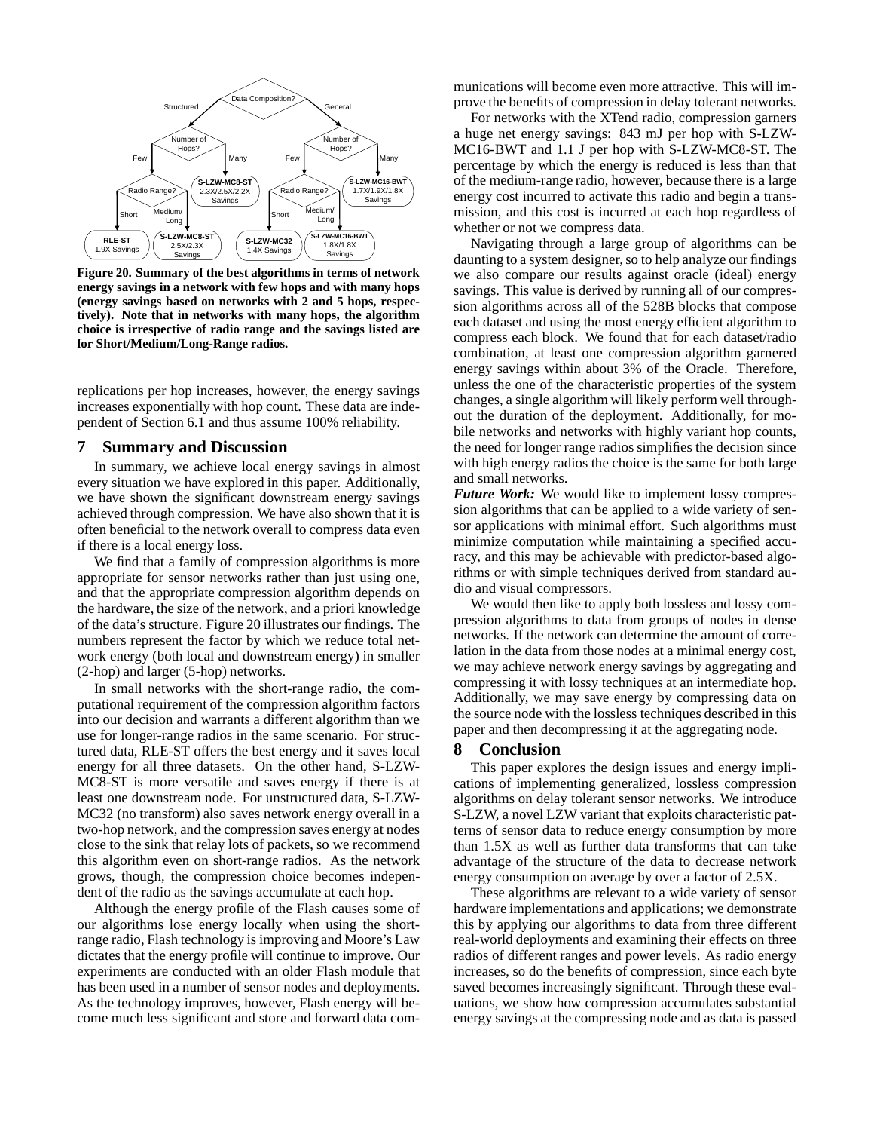

**Figure 20. Summary of the best algorithms in terms of network energy savings in a network with few hops and with many hops (energy savings based on networks with 2 and 5 hops, respectively). Note that in networks with many hops, the algorithm choice is irrespective of radio range and the savings listed are for Short/Medium/Long-Range radios.**

replications per hop increases, however, the energy savings increases exponentially with hop count. These data are independent of Section 6.1 and thus assume 100% reliability.

## **7 Summary and Discussion**

In summary, we achieve local energy savings in almost every situation we have explored in this paper. Additionally, we have shown the significant downstream energy savings achieved through compression. We have also shown that it is often beneficial to the network overall to compress data even if there is a local energy loss.

We find that a family of compression algorithms is more appropriate for sensor networks rather than just using one, and that the appropriate compression algorithm depends on the hardware, the size of the network, and a priori knowledge of the data's structure. Figure 20 illustrates our findings. The numbers represent the factor by which we reduce total network energy (both local and downstream energy) in smaller (2-hop) and larger (5-hop) networks.

In small networks with the short-range radio, the computational requirement of the compression algorithm factors into our decision and warrants a different algorithm than we use for longer-range radios in the same scenario. For structured data, RLE-ST offers the best energy and it saves local energy for all three datasets. On the other hand, S-LZW-MC8-ST is more versatile and saves energy if there is at least one downstream node. For unstructured data, S-LZW-MC32 (no transform) also saves network energy overall in a two-hop network, and the compression saves energy at nodes close to the sink that relay lots of packets, so we recommend this algorithm even on short-range radios. As the network grows, though, the compression choice becomes independent of the radio as the savings accumulate at each hop.

Although the energy profile of the Flash causes some of our algorithms lose energy locally when using the shortrange radio, Flash technology is improving and Moore's Law dictates that the energy profile will continue to improve. Our experiments are conducted with an older Flash module that has been used in a number of sensor nodes and deployments. As the technology improves, however, Flash energy will become much less significant and store and forward data communications will become even more attractive. This will improve the benefits of compression in delay tolerant networks.

For networks with the XTend radio, compression garners a huge net energy savings: 843 mJ per hop with S-LZW-MC16-BWT and 1.1 J per hop with S-LZW-MC8-ST. The percentage by which the energy is reduced is less than that of the medium-range radio, however, because there is a large energy cost incurred to activate this radio and begin a transmission, and this cost is incurred at each hop regardless of whether or not we compress data.

Navigating through a large group of algorithms can be daunting to a system designer, so to help analyze our findings we also compare our results against oracle (ideal) energy savings. This value is derived by running all of our compression algorithms across all of the 528B blocks that compose each dataset and using the most energy efficient algorithm to compress each block. We found that for each dataset/radio combination, at least one compression algorithm garnered energy savings within about 3% of the Oracle. Therefore, unless the one of the characteristic properties of the system changes, a single algorithm will likely perform well throughout the duration of the deployment. Additionally, for mobile networks and networks with highly variant hop counts, the need for longer range radios simplifies the decision since with high energy radios the choice is the same for both large and small networks.

*Future Work:* We would like to implement lossy compression algorithms that can be applied to a wide variety of sensor applications with minimal effort. Such algorithms must minimize computation while maintaining a specified accuracy, and this may be achievable with predictor-based algorithms or with simple techniques derived from standard audio and visual compressors.

We would then like to apply both lossless and lossy compression algorithms to data from groups of nodes in dense networks. If the network can determine the amount of correlation in the data from those nodes at a minimal energy cost, we may achieve network energy savings by aggregating and compressing it with lossy techniques at an intermediate hop. Additionally, we may save energy by compressing data on the source node with the lossless techniques described in this paper and then decompressing it at the aggregating node.

#### **8 Conclusion**

This paper explores the design issues and energy implications of implementing generalized, lossless compression algorithms on delay tolerant sensor networks. We introduce S-LZW, a novel LZW variant that exploits characteristic patterns of sensor data to reduce energy consumption by more than 1.5X as well as further data transforms that can take advantage of the structure of the data to decrease network energy consumption on average by over a factor of 2.5X.

These algorithms are relevant to a wide variety of sensor hardware implementations and applications; we demonstrate this by applying our algorithms to data from three different real-world deployments and examining their effects on three radios of different ranges and power levels. As radio energy increases, so do the benefits of compression, since each byte saved becomes increasingly significant. Through these evaluations, we show how compression accumulates substantial energy savings at the compressing node and as data is passed